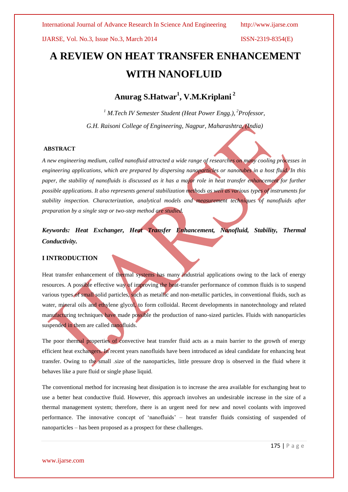# **A REVIEW ON HEAT TRANSFER ENHANCEMENT WITH NANOFLUID**

**Anurag S.Hatwar<sup>1</sup> , V.M.Kriplani <sup>2</sup>**

*<sup>1</sup> M.Tech IV Semester Student (Heat Power Engg.), <sup>2</sup>Professor, G.H. Raisoni College of Engineering, Nagpur, Maharashtra, (India)*

# **ABSTRACT**

*A new engineering medium, called nanofluid attracted a wide range of researches on many cooling processes in engineering applications, which are prepared by dispersing nanoparticles or nanotubes in a host fluid. In this paper, the stability of nanofluids is discussed as it has a major role in heat transfer enhancement for further possible applications. It also represents general stabilization methods as well as various types of instruments for stability inspection. Characterization, analytical models and measurement techniques of nanofluids after preparation by a single step or two-step method are studied.*

*Keywords: Heat Exchanger, Heat Transfer Enhancement, Nanofluid, Stability, Thermal Conductivity.*

# **I INTRODUCTION**

Heat transfer enhancement of thermal systems has many industrial applications owing to the lack of energy resources. A possible effective way of improving the heat-transfer performance of common fluids is to suspend various types of small solid particles, such as metallic and non-metallic particles, in conventional fluids, such as water, mineral oils and ethylene glycol, to form colloidal. Recent developments in nanotechnology and related manufacturing techniques have made possible the production of nano-sized particles. Fluids with nanoparticles suspended in them are called nanofluids.

The poor thermal properties of convective heat transfer fluid acts as a main barrier to the growth of energy efficient heat exchangers. In recent years nanofluids have been introduced as ideal candidate for enhancing heat transfer. Owing to the small .size of the nanoparticles, little pressure drop is observed in the fluid where it behaves like a pure fluid or single phase liquid.

The conventional method for increasing heat dissipation is to increase the area available for exchanging heat to use a better heat conductive fluid. However, this approach involves an undesirable increase in the size of a thermal management system; therefore, there is an urgent need for new and novel coolants with improved performance. The innovative concept of "nanofluids" – heat transfer fluids consisting of suspended of nanoparticles – has been proposed as a prospect for these challenges.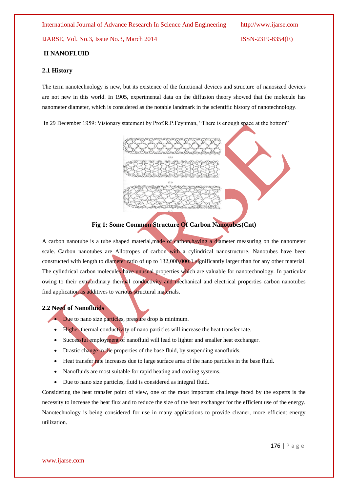# **II NANOFLUID**

# **2.1 History**

The term nanotechnology is new, but its existence of the functional devices and structure of nanosized devices are not new in this world. In 1905, experimental data on the diffusion theory showed that the molecule has nanometer diameter, which is considered as the notable landmark in the scientific history of nanotechnology.

In 29 December 1959: Visionary statement by Prof.R.P.Feynman, "There is enough space at the bottom"



# **Fig 1: Some Common Structure Of Carbon Nanotubes(Cnt)**

A carbon nanotube is a tube shaped material,made of carbon,having a diameter measuring on the nanometer scale. Carbon nanotubes are Allotropes of carbon with a cylindrical nanostructure. Nanotubes have been constructed with length to diameter ratio of up to 132,000,000:1 significantly larger than for any other material. The cylindrical carbon molecules have unusual properties which are valuable for nanotechnology. In particular owing to their extraordinary thermal conductivity and mechanical and electrical properties carbon nanotubes find application as additives to various structural materials.

# **2.2 Need of Nanofluids**

Due to nano size particles, pressure drop is minimum.

- Higher thermal conductivity of nano particles will increase the heat transfer rate.
- Successful employment of nanofluid will lead to lighter and smaller heat exchanger.
- Drastic change in the properties of the base fluid, by suspending nanofluids.
- Heat transfer rate increases due to large surface area of the nano particles in the base fluid.
- Nanofluids are most suitable for rapid heating and cooling systems.
- Due to nano size particles, fluid is considered as integral fluid.

Considering the heat transfer point of view, one of the most important challenge faced by the experts is the necessity to increase the heat flux and to reduce the size of the heat exchanger for the efficient use of the energy. Nanotechnology is being considered for use in many applications to provide cleaner, more efficient energy utilization.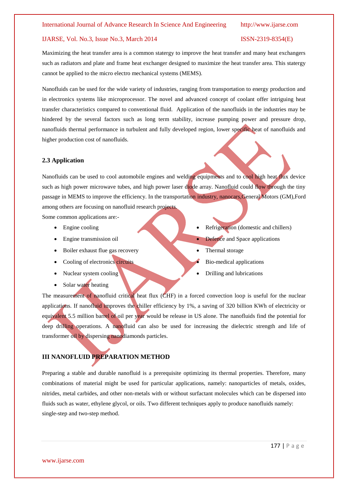Maximizing the heat transfer area is a common statergy to improve the heat transfer and many heat exchangers such as radiators and plate and frame heat exchanger designed to maximize the heat transfer area. This statergy cannot be applied to the micro electro mechanical systems (MEMS).

Nanofluids can be used for the wide variety of industries, ranging from transportation to energy production and in electronics systems like microprocessor. The novel and advanced concept of coolant offer intriguing heat transfer characteristics compared to conventional fluid. Application of the nanofluids in the industries may be hindered by the several factors such as long term stability, increase pumping power and pressure drop, nanofluids thermal performance in turbulent and fully developed region, lower specific heat of nanofluids and higher production cost of nanofluids.

# **2.3 Application**

Nanofluids can be used to cool automobile engines and welding equipments and to cool high heat flux device such as high power microwave tubes, and high power laser diode array. Nanofluid could flow through the tiny passage in MEMS to improve the efficiency. In the transportation industry, nanocars,General Motors (GM),Ford among others are focusing on nanofluid research projects.

Some common applications are:-

- Engine cooling
- Engine transmission oil
- Boiler exhaust flue gas recovery
- Cooling of electronics circuits
- Nuclear system cooling
- Solar water heating
- Refrigeration (domestic and chillers)
- Defence and Space applications
- Thermal storage
- Bio-medical applications
- Drilling and lubrications

The measurement of nanofluid critical heat flux (CHF) in a forced convection loop is useful for the nuclear applications. If nanofluid improves the chiller efficiency by 1%, a saving of 320 billion KWh of electricity or equivalent 5.5 million barrel of oil per year would be release in US alone. The nanofluids find the potential for deep drilling operations. A nanofluid can also be used for increasing the dielectric strength and life of transformer oil by dispersing nanodiamonds particles.

# **III NANOFLUID PREPARATION METHOD**

Preparing a stable and durable nanofluid is a prerequisite optimizing its thermal properties. Therefore, many combinations of material might be used for particular applications, namely: nanoparticles of metals, oxides, nitrides, metal carbides, and other non-metals with or without surfactant molecules which can be dispersed into fluids such as water, ethylene glycol, or oils. Two different techniques apply to produce nanofluids namely: single-step and two-step method.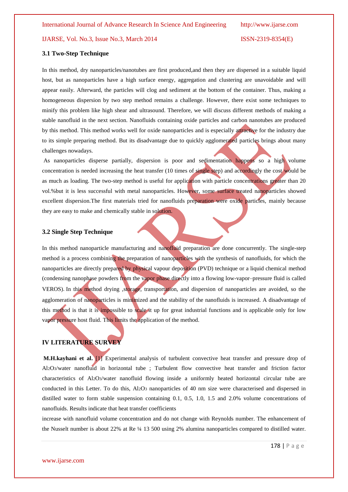# **3.1 Two-Step Technique**

In this method, dry nanoparticles/nanotubes are first produced,and then they are dispersed in a suitable liquid host, but as nanoparticles have a high surface energy, aggregation and clustering are unavoidable and will appear easily. Afterward, the particles will clog and sediment at the bottom of the container. Thus, making a homogeneous dispersion by two step method remains a challenge. However, there exist some techniques to minify this problem like high shear and ultrasound. Therefore, we will discuss different methods of making a stable nanofluid in the next section. Nanofluids containing oxide particles and carbon nanotubes are produced by this method. This method works well for oxide nanoparticles and is especially attractive for the industry due to its simple preparing method. But its disadvantage due to quickly agglomerated particles brings about many challenges nowadays.

As nanoparticles disperse partially, dispersion is poor and sedimentation happens so a high volume concentration is needed increasing the heat transfer (10 times of single step) and accordingly the cost would be as much as loading. The two-step method is useful for application with particle concentrations greater than 20 vol.%but it is less successful with metal nanoparticles. However, some surface treated nanoparticles showed excellent dispersion.The first materials tried for nanofluids preparation were oxide particles, mainly because they are easy to make and chemically stable in solution.

# **3.2 Single Step Technique**

In this method nanoparticle manufacturing and nanofluid preparation are done concurrently. The single-step method is a process combining the preparation of nanoparticles with the synthesis of nanofluids, for which the nanoparticles are directly prepared by physical vapour deposition (PVD) technique or a liquid chemical method (condensing nanophase powders from the vapor phase directly into a flowing low-vapor–pressure fluid is called VEROS).In this method drying ,storage, transportation, and dispersion of nanoparticles are avoided, so the agglomeration of nanoparticles is minimized and the stability of the nanofluids is increased. A disadvantage of this method is that it is impossible to scale it up for great industrial functions and is applicable only for low vapor pressure host fluid. This limits the application of the method.

# **IV LITERATURE SURVEY**

**M.H.kayhani et al.** [1] Experimental analysis of turbulent convective heat transfer and pressure drop of Al2O3/water nanofluid in horizontal tube ; Turbulent flow convective heat transfer and friction factor characteristics of Al2O3/water nanofluid flowing inside a uniformly heated horizontal circular tube are conducted in this Letter. To do this, Al2O<sub>3</sub> nanoparticles of 40 nm size were characterised and dispersed in distilled water to form stable suspension containing 0.1, 0.5, 1.0, 1.5 and 2.0% volume concentrations of nanofluids. Results indicate that heat transfer coefficients

increase with nanofluid volume concentration and do not change with Reynolds number. The enhancement of the Nusselt number is about 22% at Re ¼ 13 500 using 2% alumina nanoparticles compared to distilled water.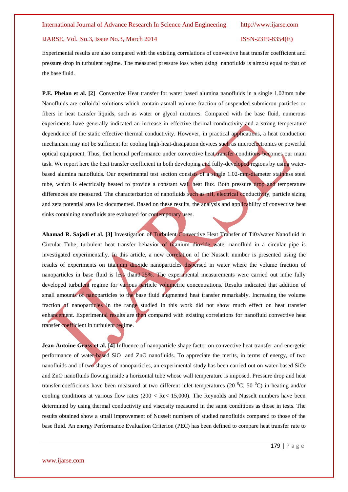Experimental results are also compared with the existing correlations of convective heat transfer coefficient and pressure drop in turbulent regime. The measured pressure loss when using nanofluids is almost equal to that of the base fluid.

**P.E. Phelan et al. [2]** Convective Heat transfer for water based alumina nanofluids in a single 1.02mm tube Nanofluids are colloidal solutions which contain asmall volume fraction of suspended submicron particles or fibers in heat transfer liquids, such as water or glycol mixtures. Compared with the base fluid, numerous experiments have generally indicated an increase in effective thermal conductivity and a strong temperature dependence of the static effective thermal conductivity. However, in practical applications, a heat conduction mechanism may not be sufficient for cooling high-heat-dissipation devices such as microelectronics or powerful optical equipment. Thus, thet hermal performance under convective heat transfer conditions becomes our main task. We report here the heat transfer coefficient in both developing and fully-developed regions by using waterbased alumina nanofluids. Our experimental test section consists of a single 1.02-mm-diameter stainless steel tube, which is electrically heated to provide a constant wall heat flux. Both pressure drop and temperature differences are measured. The characterization of nanofluids such as pH, electrical conductivity, particle sizing and zeta potential area lso documented. Based on these results, the analysis and applicability of convective heat sinks containing nanofluids are evaluated for contemporary uses.

**Ahamad R. Sajadi et al. [3]** Investigation of Turbulent Convective Heat Transfer of Ti02/water Nanofluid in Circular Tube; turbulent heat transfer behavior of titanium dioxide water nanofluid in a circular pipe is investigated experimentally. In this article, a new correlation of the Nusselt number is presented using the results of experiments on titanium dioxide nanoparticles dispersed in water where the volume fraction of nanoparticles in base fluid is less than0.25%. The experimental measurements were carried out inthe fully developed turbulent regime for various particle volumetric concentrations. Results indicated that addition of small amounts of nanoparticles to the base fluid augmented heat transfer remarkably. Increasing the volume fraction of nanoparticles in the range studied in this work did not show much effect on heat transfer enhancement. Experimental results are then compared with existing correlations for nanofluid convective heat transfer coefficient in turbulent regime.

**Jean-Antoine Gruss et al. [4]** Influence of nanoparticle shape factor on convective heat transfer and energetic performance of water-based SiO and ZnO nanofluids. To appreciate the merits, in terms of energy, of two nanofluids and of two shapes of nanoparticles, an experimental study has been carried out on water-based SiO<sup>2</sup> and ZnO nanofluids flowing inside a horizontal tube whose wall temperature is imposed. Pressure drop and heat transfer coefficients have been measured at two different inlet temperatures (20  $^{\circ}$ C, 50  $^{\circ}$ C) in heating and/or cooling conditions at various flow rates (200  $\times$  Re $\times$  15,000). The Reynolds and Nusselt numbers have been determined by using thermal conductivity and viscosity measured in the same conditions as those in tests. The results obtained show a small improvement of Nusselt numbers of studied nanofluids compared to those of the base fluid. An energy Performance Evaluation Criterion (PEC) has been defined to compare heat transfer rate to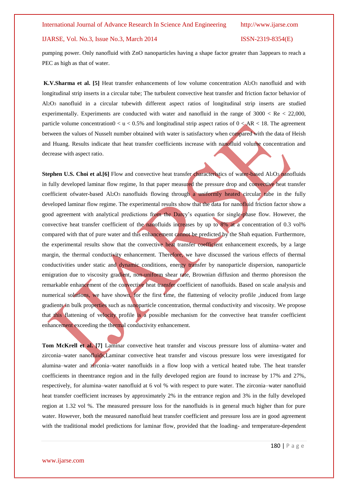pumping power. Only nanofluid with ZnO nanoparticles having a shape factor greater than 3appears to reach a PEC as high as that of water.

**K.V.Sharma et al. [5]** Heat transfer enhancements of low volume concentration Al2O<sup>3</sup> nanofluid and with longitudinal strip inserts in a circular tube; The turbulent convective heat transfer and friction factor behavior of Al2O3 nanofluid in a circular tubewith different aspect ratios of longitudinal strip inserts are studied experimentally. Experiments are conducted with water and nanofluid in the range of  $3000 < Re < 22,000$ , particle volume concentration $0 < u < 0.5\%$  and longitudinal strip aspect ratios of  $0 < AR < 18$ . The agreement between the values of Nusselt number obtained with water is satisfactory when compared with the data of Heish and Huang. Results indicate that heat transfer coefficients increase with nanofluid volume concentration and decrease with aspect ratio.

**Stephen U.S. Choi et al.** [6] Flow and convective heat transfer *characteristics* of water-based Al2O3 nanofluids in fully developed laminar flow regime, In that paper measured the pressure drop and convective heat transfer coefficient ofwater-based Al2O3 nanofluids flowing through a uniformly heated circular tube in the fully developed laminar flow regime. The experimental results show that the data for nanofluid friction factor show a good agreement with analytical predictions from the Darcy"s equation for single-phase flow. However, the convective heat transfer coefficient of the nanofluids increases by up to 8% at a concentration of 0.3 vol% compared with that of pure water and this enhancement cannot be predicted by the Shah equation. Furthermore, the experimental results show that the convective heat transfer coefficient enhancement exceeds, by a large margin, the thermal conductivity enhancement. Therefore, we have discussed the various effects of thermal conductivities under static and dynamic conditions, energy transfer by nanoparticle dispersion, nanoparticle emigration due to viscosity gradient, non-uniform shear rate, Brownian diffusion and thermo phoresison the remarkable enhancement of the convective heat transfer coefficient of nanofluids. Based on scale analysis and numerical solutions, we have shown, for the first time, the flattening of velocity profile ,induced from large gradients in bulk properties such as nanoparticle concentration, thermal conductivity and viscosity. We propose that this flattening of velocity profile is a possible mechanism for the convective heat transfer coefficient enhancement exceeding the thermal conductivity enhancement.

**Tom McKrell et al. [7]** Laminar convective heat transfer and viscous pressure loss of alumina–water and zirconia–water nanofluids,Laminar convective heat transfer and viscous pressure loss were investigated for alumina–water and zirconia–water nanofluids in a flow loop with a vertical heated tube. The heat transfer coefficients in theentrance region and in the fully developed region are found to increase by 17% and 27%, respectively, for alumina–water nanofluid at 6 vol % with respect to pure water. The zirconia–water nanofluid heat transfer coefficient increases by approximately 2% in the entrance region and 3% in the fully developed region at 1.32 vol %. The measured pressure loss for the nanofluids is in general much higher than for pure water. However, both the measured nanofluid heat transfer coefficient and pressure loss are in good agreement with the traditional model predictions for laminar flow, provided that the loading- and temperature-dependent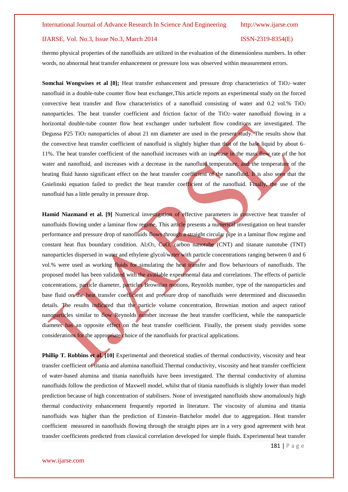thermo physical properties of the nanofluids are utilized in the evaluation of the dimensionless numbers. In other words, no abnormal heat transfer enhancement or pressure loss was observed within measurement errors.

**Somchai Wongwises et al [8];** Heat transfer enhancement and pressure drop characteristics of TiO2–water nanofluid in a double-tube counter flow heat exchanger,This article reports an experimental study on the forced convective heat transfer and flow characteristics of a nanofluid consisting of water and 0.2 vol.% TiO<sup>2</sup> nanoparticles. The heat transfer coefficient and friction factor of the TiO2–water nanofluid flowing in a horizontal double-tube counter flow heat exchanger under turbulent flow conditions are investigated. The Degussa P25 TiO<sup>2</sup> nanoparticles of about 21 nm diameter are used in the present study. The results show that the convective heat transfer coefficient of nanofluid is slightly higher than that of the base liquid by about 6– 11%. The heat transfer coefficient of the nanofluid increases with an increase in the mass flow rate of the hot water and nanofluid, and increases with a decrease in the nanofluid temperature, and the temperature of the heating fluid hasno significant effect on the heat transfer coefficient of the nanofluid. It is also seen that the Gnielinski equation failed to predict the heat transfer coefficient of the nanofluid. Finally, the use of the nanofluid has a little penalty in pressure drop.

**Hamid Niazmand et al. [9]** Numerical investigation of effective parameters in convective heat transfer of nanofluids flowing under a laminar flow regime, This article presents a numerical investigation on heat transfer performance and pressure drop of nanofluids flows through a straight circular pipe in a laminar flow regime and constant heat flux boundary condition. Al2O3, CuO, carbon nanotube (CNT) and titanate nanotube (TNT) nanoparticles dispersed in water and ethylene glycol/water with particle concentrations ranging between 0 and 6 vol.% were used as working fluids for simulating the heat transfer and flow behaviours of nanofluids. The proposed model has been validated with the available experimental data and correlations. The effects of particle concentrations, particle diameter, particles Brownian motions, Reynolds number, type of the nanoparticles and base fluid on the heat transfer coefficient and pressure drop of nanofluids were determined and discussedin details. The results indicated that the particle volume concentration, Brownian motion and aspect ratioof nanoparticles similar to flow Reynolds number increase the heat transfer coefficient, while the nanoparticle diameter has an opposite effect on the heat transfer coefficient. Finally, the present study provides some considerations for the appropriate choice of the nanofluids for practical applications.

**Phillip T. Robbins et al.** [10] Experimental and theoretical studies of thermal conductivity, viscosity and heat transfer coefficient of titania and alumina nanofluid.Thermal conductivity, viscosity and heat transfer coefficient of water-based alumina and titania nanofluids have been investigated. The thermal conductivity of alumina nanofluids follow the prediction of Maxwell model, whilst that of titania nanofluids is slightly lower than model prediction because of high concentration of stabilisers. None of investigated nanofluids show anomalously high thermal conductivity enhancement frequently reported in literature. The viscosity of alumina and titania nanofluids was higher than the prediction of Einstein–Batchelor model due to aggregation. Heat transfer coefficient measured in nanofluids flowing through the straight pipes are in a very good agreement with heat transfer coefficients predicted from classical correlation developed for simple fluids. Experimental heat transfer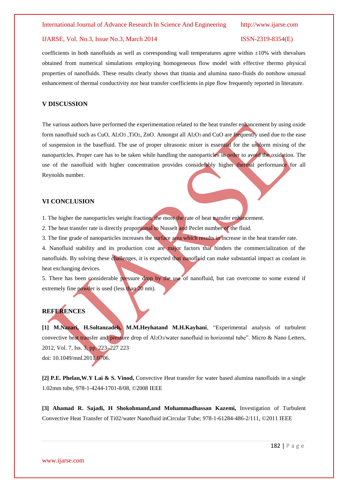coefficients in both nanofluids as well as corresponding wall temperatures agree within  $\pm 10\%$  with thevalues obtained from numerical simulations employing homogeneous flow model with effective thermo physical properties of nanofluids. These results clearly shows that titania and alumina nano-fluids do notshow unusual enhancement of thermal conductivity nor heat transfer coefficients in pipe flow frequently reported in literature.

# **V DISCUSSION**

The various authors have performed the experimentation related to the heat transfer enhancement by using oxide form nanofluid such as CuO, Al2O3 ,TiO2, ZnO. Amongst all Al2O3 and CuO are frequently used due to the ease of suspension in the basefluid. The use of proper ultrasonic mixer is essential for the uniform mixing of the nanoparticles. Proper care has to be taken while handling the nanoparticles in order to avoid the oxidation. The use of the nanofluid with higher concentration provides considerably higher thermal performance for all Reynolds number.

# **VI CONCLUSION**

1. The higher the nanoparticles weight fraction, the more the rate of heat transfer enhancement.

2. The heat transfer rate is directly proportional to Nusselt and Peclet number of the fluid.

3. The fine grade of nanoparticles increases the surface area which results in increase in the heat transfer rate.

4. Nanofluid stability and its production cost are major factors that hinders the commercialization of the nanofluids. By solving these challenges, it is expected that nanofluid can make substantial impact as coolant in heat exchanging devices.

5. There has been considerable pressure drop by the use of nanofluid, but can overcome to some extend if extremely fine powder is used (less than 20 nm).

# **REFERENCES**

**[1] M.Nazari, H.Soltanzadeh, M.M.Heyhatand M.H.Kayhani**, "Experimental analysis of turbulent convective heat transfer and pressure drop of Al2O3/water nanofluid in horizontal tube". Micro & Nano Letters, 2012, Vol. 7, Iss. 3, pp. 223–227 223 doi: 10.1049/mnl.2011.0706.

**[2] P.E. Phelan,W.Y Lai & S. Vinod,** Convective Heat transfer for water based alumina nanofluids in a single 1.02mm tube, 978-1-4244-1701-8/08, ©2008 IEEE

**[3] Ahamad R. Sajadi, H Shokohmand,and Mohammadhassan Kazemi,** Investigation of Turbulent Convective Heat Transfer of Ti02/water Nanofluid inCircular Tube; 978-1-61284-486-2/111, ©2011 IEEE